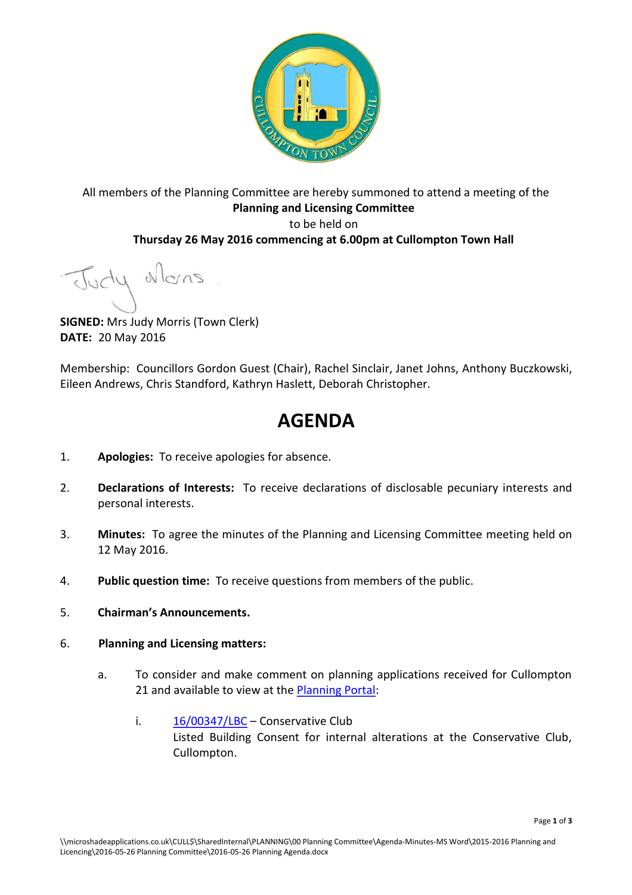

## All members of the Planning Committee are hereby summoned to attend a meeting of the **Planning and Licensing Committee**  to be held on **Thursday 26 May 2016 commencing at 6.00pm at Cullompton Town Hall**

Judy Mons

**SIGNED:** Mrs Judy Morris (Town Clerk) **DATE:** 20 May 2016

Membership: Councillors Gordon Guest (Chair), Rachel Sinclair, Janet Johns, Anthony Buczkowski, Eileen Andrews, Chris Standford, Kathryn Haslett, Deborah Christopher.

## **AGENDA**

- 1. **Apologies:** To receive apologies for absence.
- 2. **Declarations of Interests:** To receive declarations of disclosable pecuniary interests and personal interests.
- 3. **Minutes:** To agree the minutes of the Planning and Licensing Committee meeting held on 12 May 2016.
- 4. **Public question time:** To receive questions from members of the public.
- 5. **Chairman's Announcements.**
- 6. **Planning and Licensing matters:**
	- a. To consider and make comment on planning applications received for Cullompton 21 and available to view at the [Planning Portal:](http://planning.middevon.gov.uk/online-applications/refineSearch.do?action=refine)
		- i.  $16/00347/LBC 16/00347/LBC -$  Conservative Club Listed Building Consent for internal alterations at the Conservative Club, Cullompton.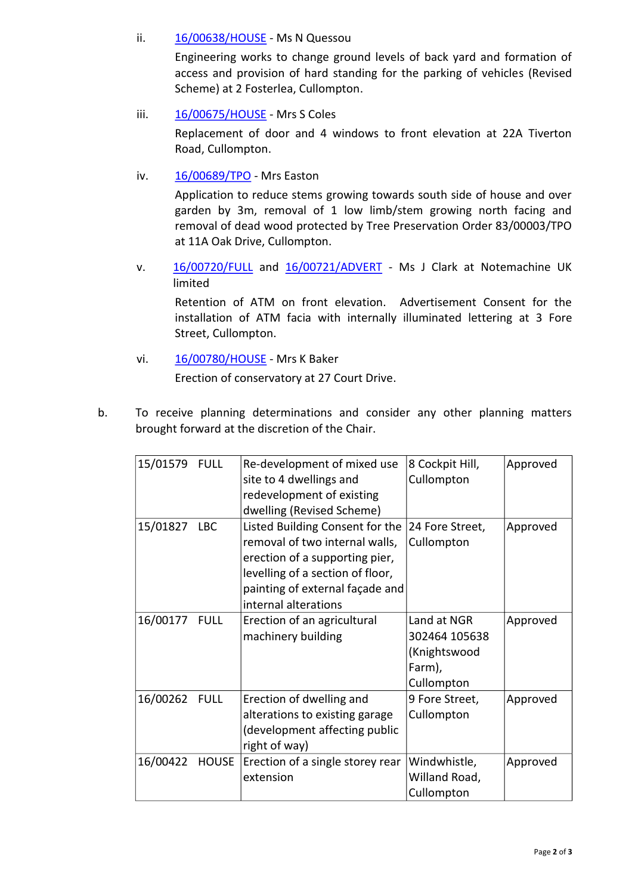### ii. [16/00638/HOUSE](http://docs.middevon.gov.uk/pap/index.asp?caseref=16/00638/HOUSE) - Ms N Quessou

Engineering works to change ground levels of back yard and formation of access and provision of hard standing for the parking of vehicles (Revised Scheme) at 2 Fosterlea, Cullompton.

iii. [16/00675/HOUSE](http://docs.middevon.gov.uk/pap/index.asp?caseref=16/00675/HOUSE) - Mrs S Coles

Replacement of door and 4 windows to front elevation at 22A Tiverton Road, Cullompton.

iv. [16/00689/TPO](http://docs.middevon.gov.uk/pap/index.asp?caseref=16/00689/TPO) - Mrs Easton

Application to reduce stems growing towards south side of house and over garden by 3m, removal of 1 low limb/stem growing north facing and removal of dead wood protected by Tree Preservation Order 83/00003/TPO at 11A Oak Drive, Cullompton.

v. [16/00720/FULL](http://docs.middevon.gov.uk/pap/index.asp?caseref=16/00720/FULL) and [16/00721/ADVERT](http://docs.middevon.gov.uk/pap/index.asp?caseref=16/00721/ADVERT) - Ms J Clark at Notemachine UK limited

Retention of ATM on front elevation. Advertisement Consent for the installation of ATM facia with internally illuminated lettering at 3 Fore Street, Cullompton.

- vi. [16/00780/HOUSE](http://docs.middevon.gov.uk/pap/index.asp?caseref=16/00780/HOUSE)  Mrs K Baker Erection of conservatory at 27 Court Drive.
- b. To receive planning determinations and consider any other planning matters brought forward at the discretion of the Chair.

| 15/01579 FULL |       | Re-development of mixed use<br>site to 4 dwellings and<br>redevelopment of existing<br>dwelling (Revised Scheme)                                                                                   | 8 Cockpit Hill,<br>Cullompton                                        | Approved |
|---------------|-------|----------------------------------------------------------------------------------------------------------------------------------------------------------------------------------------------------|----------------------------------------------------------------------|----------|
| 15/01827 LBC  |       | Listed Building Consent for the<br>removal of two internal walls,<br>erection of a supporting pier,<br>levelling of a section of floor,<br>painting of external façade and<br>internal alterations | 24 Fore Street,<br>Cullompton                                        | Approved |
| 16/00177 FULL |       | Erection of an agricultural<br>machinery building                                                                                                                                                  | Land at NGR<br>302464 105638<br>(Knightswood<br>Farm),<br>Cullompton | Approved |
| 16/00262 FULL |       | Erection of dwelling and<br>alterations to existing garage<br>(development affecting public<br>right of way)                                                                                       | 9 Fore Street,<br>Cullompton                                         | Approved |
| 16/00422      | HOUSE | Erection of a single storey rear<br>extension                                                                                                                                                      | Windwhistle,<br>Willand Road,<br>Cullompton                          | Approved |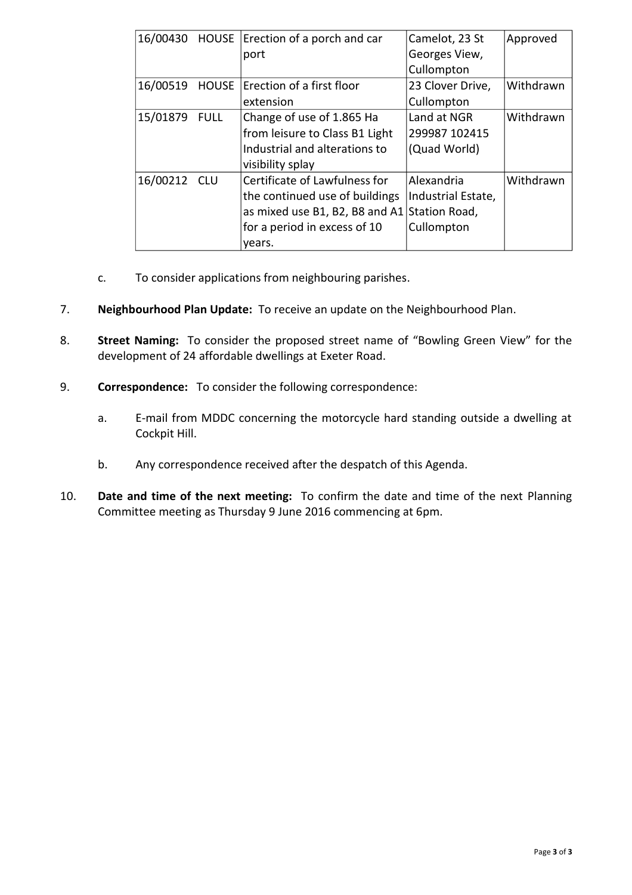| 16/00430 HOUSE |              | Erection of a porch and car<br>port          | Camelot, 23 St<br>Georges View, | Approved  |
|----------------|--------------|----------------------------------------------|---------------------------------|-----------|
|                |              |                                              | Cullompton                      |           |
| 16/00519       | <b>HOUSE</b> | Erection of a first floor                    | 23 Clover Drive,                | Withdrawn |
|                |              | extension                                    | Cullompton                      |           |
| 15/01879 FULL  |              | Change of use of 1.865 Ha                    | Land at NGR                     | Withdrawn |
|                |              | from leisure to Class B1 Light               | 299987 102415                   |           |
|                |              | Industrial and alterations to                | (Quad World)                    |           |
|                |              | visibility splay                             |                                 |           |
| 16/00212 CLU   |              | Certificate of Lawfulness for                | Alexandria                      | Withdrawn |
|                |              | the continued use of buildings               | Industrial Estate,              |           |
|                |              | as mixed use B1, B2, B8 and A1 Station Road, |                                 |           |
|                |              | for a period in excess of 10                 | Cullompton                      |           |
|                |              | vears.                                       |                                 |           |

- c. To consider applications from neighbouring parishes.
- 7. **Neighbourhood Plan Update:** To receive an update on the Neighbourhood Plan.
- 8. **Street Naming:** To consider the proposed street name of "Bowling Green View" for the development of 24 affordable dwellings at Exeter Road.
- 9. **Correspondence:** To consider the following correspondence:
	- a. E-mail from MDDC concerning the motorcycle hard standing outside a dwelling at Cockpit Hill.
	- b. Any correspondence received after the despatch of this Agenda.
- 10. **Date and time of the next meeting:** To confirm the date and time of the next Planning Committee meeting as Thursday 9 June 2016 commencing at 6pm.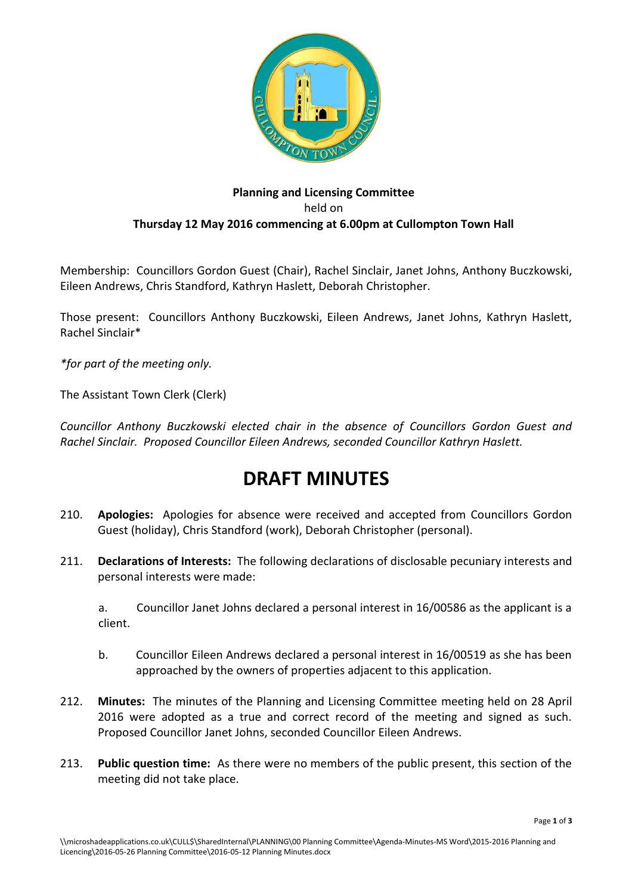

## **Planning and Licensing Committee**  held on **Thursday 12 May 2016 commencing at 6.00pm at Cullompton Town Hall**

Membership: Councillors Gordon Guest (Chair), Rachel Sinclair, Janet Johns, Anthony Buczkowski, Eileen Andrews, Chris Standford, Kathryn Haslett, Deborah Christopher.

Those present: Councillors Anthony Buczkowski, Eileen Andrews, Janet Johns, Kathryn Haslett, Rachel Sinclair\*

*\*for part of the meeting only.*

The Assistant Town Clerk (Clerk)

*Councillor Anthony Buczkowski elected chair in the absence of Councillors Gordon Guest and Rachel Sinclair. Proposed Councillor Eileen Andrews, seconded Councillor Kathryn Haslett.* 

# **DRAFT MINUTES**

- 210. **Apologies:** Apologies for absence were received and accepted from Councillors Gordon Guest (holiday), Chris Standford (work), Deborah Christopher (personal).
- 211. **Declarations of Interests:** The following declarations of disclosable pecuniary interests and personal interests were made:

a. Councillor Janet Johns declared a personal interest in 16/00586 as the applicant is a client.

- b. Councillor Eileen Andrews declared a personal interest in 16/00519 as she has been approached by the owners of properties adjacent to this application.
- 212. **Minutes:** The minutes of the Planning and Licensing Committee meeting held on 28 April 2016 were adopted as a true and correct record of the meeting and signed as such. Proposed Councillor Janet Johns, seconded Councillor Eileen Andrews.
- 213. **Public question time:** As there were no members of the public present, this section of the meeting did not take place.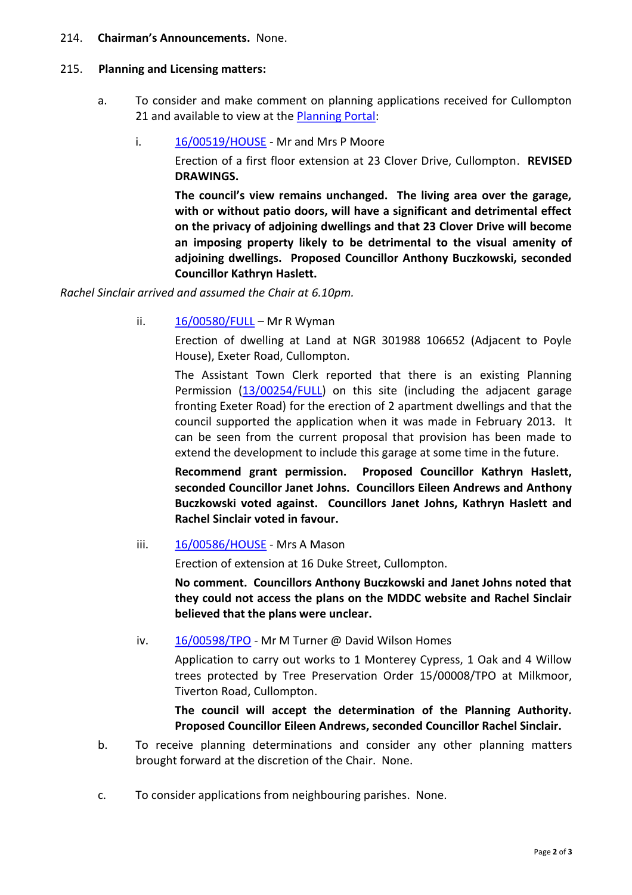#### 214. **Chairman's Announcements.** None.

#### 215. **Planning and Licensing matters:**

- a. To consider and make comment on planning applications received for Cullompton 21 and available to view at the [Planning Portal:](http://planning.middevon.gov.uk/online-applications/refineSearch.do?action=refine)
	- i. [16/00519/HOUSE](http://docs.middevon.gov.uk/pap/index.asp?caseref=16/00519/HOUSE)  Mr and Mrs P Moore

Erection of a first floor extension at 23 Clover Drive, Cullompton. **REVISED DRAWINGS.** 

**The council's view remains unchanged. The living area over the garage, with or without patio doors, will have a significant and detrimental effect on the privacy of adjoining dwellings and that 23 Clover Drive will become an imposing property likely to be detrimental to the visual amenity of adjoining dwellings. Proposed Councillor Anthony Buczkowski, seconded Councillor Kathryn Haslett.** 

*Rachel Sinclair arrived and assumed the Chair at 6.10pm.* 

ii.  $16/00580/FULL - Mr R Wyman$  $16/00580/FULL - Mr R Wyman$ 

Erection of dwelling at Land at NGR 301988 106652 (Adjacent to Poyle House), Exeter Road, Cullompton.

The Assistant Town Clerk reported that there is an existing Planning Permission [\(13/00254/FULL\)](http://docs.middevon.gov.uk/pap/index.asp?caseref=13/00254/FULL) on this site (including the adjacent garage fronting Exeter Road) for the erection of 2 apartment dwellings and that the council supported the application when it was made in February 2013. It can be seen from the current proposal that provision has been made to extend the development to include this garage at some time in the future.

**Recommend grant permission. Proposed Councillor Kathryn Haslett, seconded Councillor Janet Johns. Councillors Eileen Andrews and Anthony Buczkowski voted against. Councillors Janet Johns, Kathryn Haslett and Rachel Sinclair voted in favour.** 

iii. [16/00586/HOUSE](http://docs.middevon.gov.uk/pap/index.asp?caseref=16/00586/HOUSE) - Mrs A Mason

Erection of extension at 16 Duke Street, Cullompton.

**No comment. Councillors Anthony Buczkowski and Janet Johns noted that they could not access the plans on the MDDC website and Rachel Sinclair believed that the plans were unclear.** 

iv.  $16/00598/TPO$  - Mr M Turner @ David Wilson Homes

Application to carry out works to 1 Monterey Cypress, 1 Oak and 4 Willow trees protected by Tree Preservation Order 15/00008/TPO at Milkmoor, Tiverton Road, Cullompton.

**The council will accept the determination of the Planning Authority. Proposed Councillor Eileen Andrews, seconded Councillor Rachel Sinclair.**

- b. To receive planning determinations and consider any other planning matters brought forward at the discretion of the Chair. None.
- c. To consider applications from neighbouring parishes. None.